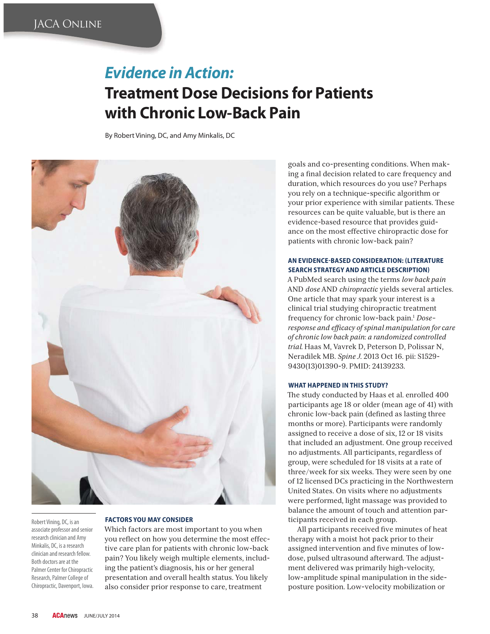# *Evidence in Action:* **Treatment Dose Decisions for Patients with Chronic Low-Back Pain**

By Robert Vining, DC, and Amy Minkalis, DC



Robert Vining, DC, is an associate professor and senior research clinician and Amy Minkalis, DC, is a research clinician and research fellow. Both doctors are at the Palmer Center for Chiropractic Research, Palmer College of Chiropractic, Davenport, Iowa.

## **FACTORS YOU MAY CONSIDER**

Which factors are most important to you when you reflect on how you determine the most effective care plan for patients with chronic low-back pain? You likely weigh multiple elements, including the patient's diagnosis, his or her general presentation and overall health status. You likely also consider prior response to care, treatment

goals and co-presenting conditions. When making a final decision related to care frequency and duration, which resources do you use? Perhaps you rely on a technique-specific algorithm or your prior experience with similar patients. These resources can be quite valuable, but is there an evidence-based resource that provides guidance on the most effective chiropractic dose for patients with chronic low-back pain?

# **AN EVIDENCE-BASED CONSIDERATION: (LITERATURE SEARCH STRATEGY AND ARTICLE DESCRIPTION**

A PubMed search using the terms *low back pain* AND *dose* AND *chiropractic* yields several articles. One article that may spark your interest is a clinical trial studying chiropractic treatment frequency for chronic low-back pain.1 *Doseresponse and efficacy of spinal manipulation for care of chronic low back pain: a randomized controlled trial.* Haas M, Vavrek D, Peterson D, Polissar N, Neradilek MB. *Spine J*. 2013 Oct 16. pii: S1529- 9430(13)01390-9. PMID: 24139233.

# **WHAT HAPPENED IN THIS STUDY?**

The study conducted by Haas et al. enrolled 400 participants age 18 or older (mean age of 41) with chronic low-back pain (defined as lasting three months or more). Participants were randomly assigned to receive a dose of six, 12 or 18 visits that included an adjustment. One group received no adjustments. All participants, regardless of group, were scheduled for 18 visits at a rate of three/week for six weeks. They were seen by one of 12 licensed DCs practicing in the Northwestern United States. On visits where no adjustments were performed, light massage was provided to balance the amount of touch and attention participants received in each group.

All participants received five minutes of heat therapy with a moist hot pack prior to their assigned intervention and five minutes of lowdose, pulsed ultrasound afterward. The adjustment delivered was primarily high-velocity, low-amplitude spinal manipulation in the sideposture position. Low-velocity mobilization or